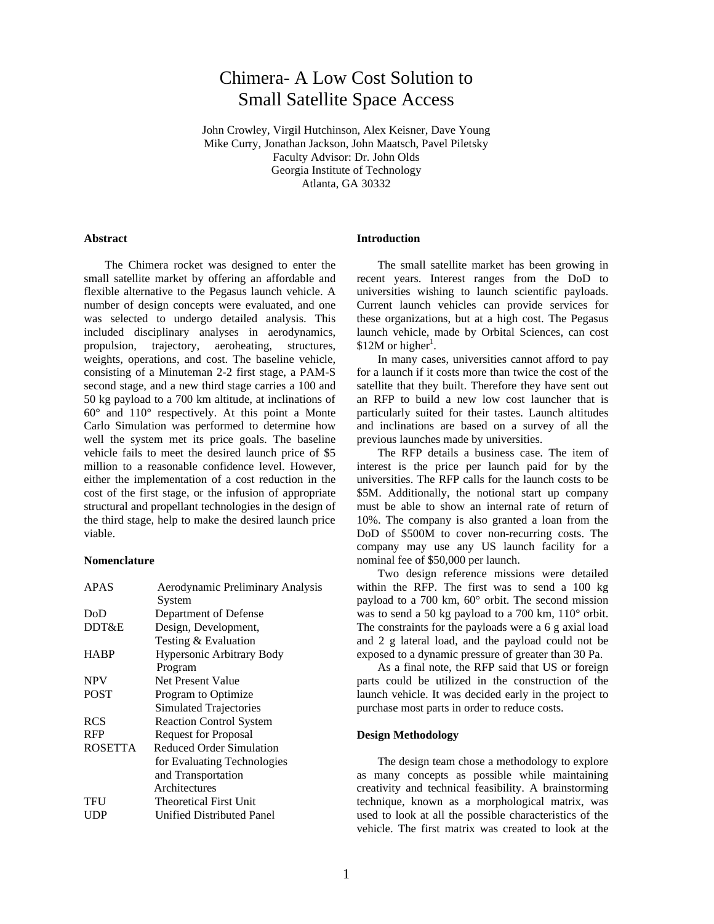# Chimera- A Low Cost Solution to Small Satellite Space Access

John Crowley, Virgil Hutchinson, Alex Keisner, Dave Young Mike Curry, Jonathan Jackson, John Maatsch, Pavel Piletsky Faculty Advisor: Dr. John Olds Georgia Institute of Technology Atlanta, GA 30332

# **Abstract**

The Chimera rocket was designed to enter the small satellite market by offering an affordable and flexible alternative to the Pegasus launch vehicle. A number of design concepts were evaluated, and one was selected to undergo detailed analysis. This included disciplinary analyses in aerodynamics, propulsion, trajectory, aeroheating, structures, weights, operations, and cost. The baseline vehicle, consisting of a Minuteman 2-2 first stage, a PAM-S second stage, and a new third stage carries a 100 and 50 kg payload to a 700 km altitude, at inclinations of 60° and 110° respectively. At this point a Monte Carlo Simulation was performed to determine how well the system met its price goals. The baseline vehicle fails to meet the desired launch price of \$5 million to a reasonable confidence level. However, either the implementation of a cost reduction in the cost of the first stage, or the infusion of appropriate structural and propellant technologies in the design of the third stage, help to make the desired launch price viable.

#### **Nomenclature**

| <b>APAS</b>    | Aerodynamic Preliminary Analysis |
|----------------|----------------------------------|
|                | System                           |
| DoD            | Department of Defense            |
| DDT&E          | Design, Development,             |
|                | Testing & Evaluation             |
| <b>HABP</b>    | Hypersonic Arbitrary Body        |
|                | Program                          |
| <b>NPV</b>     | Net Present Value                |
| <b>POST</b>    | Program to Optimize              |
|                | Simulated Trajectories           |
| <b>RCS</b>     | <b>Reaction Control System</b>   |
| <b>RFP</b>     | <b>Request for Proposal</b>      |
| <b>ROSETTA</b> | Reduced Order Simulation         |
|                | for Evaluating Technologies      |
|                | and Transportation               |
|                | Architectures                    |
| TFU            | <b>Theoretical First Unit</b>    |
| UDP            | Unified Distributed Panel        |
|                |                                  |

# **Introduction**

The small satellite market has been growing in recent years. Interest ranges from the DoD to universities wishing to launch scientific payloads. Current launch vehicles can provide services for these organizations, but at a high cost. The Pegasus launch vehicle, made by Orbital Sciences, can cost \$12M or higher<sup>1</sup>.

In many cases, universities cannot afford to pay for a launch if it costs more than twice the cost of the satellite that they built. Therefore they have sent out an RFP to build a new low cost launcher that is particularly suited for their tastes. Launch altitudes and inclinations are based on a survey of all the previous launches made by universities.

The RFP details a business case. The item of interest is the price per launch paid for by the universities. The RFP calls for the launch costs to be \$5M. Additionally, the notional start up company must be able to show an internal rate of return of 10%. The company is also granted a loan from the DoD of \$500M to cover non-recurring costs. The company may use any US launch facility for a nominal fee of \$50,000 per launch.

Two design reference missions were detailed within the RFP. The first was to send a 100 kg payload to a 700 km, 60° orbit. The second mission was to send a 50 kg payload to a 700 km, 110° orbit. The constraints for the payloads were a 6 g axial load and 2 g lateral load, and the payload could not be exposed to a dynamic pressure of greater than 30 Pa.

As a final note, the RFP said that US or foreign parts could be utilized in the construction of the launch vehicle. It was decided early in the project to purchase most parts in order to reduce costs.

## **Design Methodology**

The design team chose a methodology to explore as many concepts as possible while maintaining creativity and technical feasibility. A brainstorming technique, known as a morphological matrix, was used to look at all the possible characteristics of the vehicle. The first matrix was created to look at the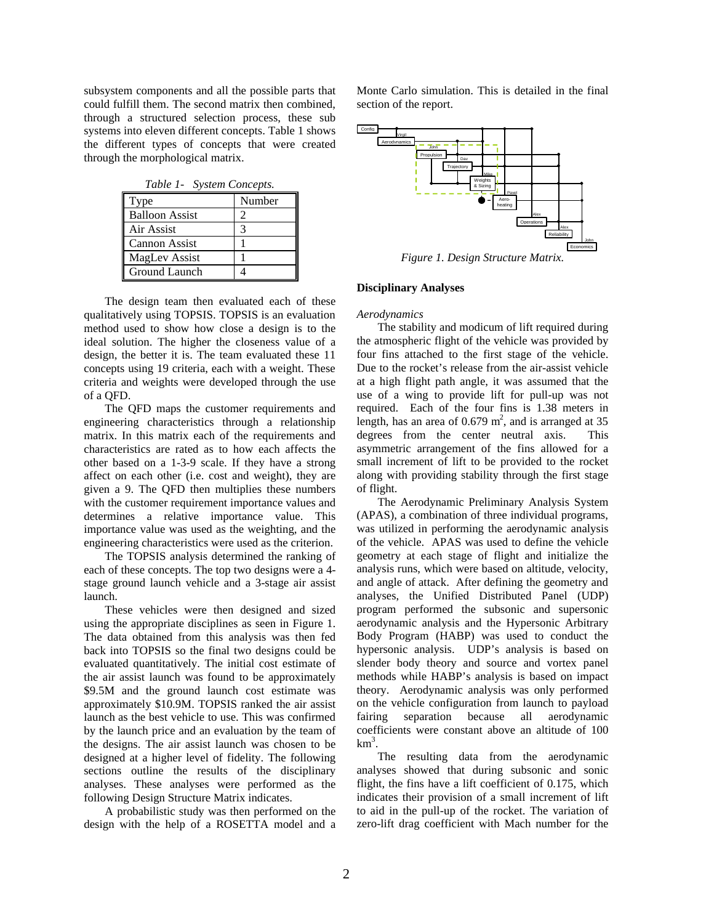subsystem components and all the possible parts that could fulfill them. The second matrix then combined, through a structured selection process, these sub systems into eleven different concepts. Table 1 shows the different types of concepts that were created through the morphological matrix.

| Table 1- System Concepts. |        |  |  |
|---------------------------|--------|--|--|
| Type                      | Number |  |  |
| <b>Balloon Assist</b>     |        |  |  |
| Air Assist                |        |  |  |
| <b>Cannon Assist</b>      |        |  |  |
| <b>MagLev Assist</b>      |        |  |  |
| Ground Launch             |        |  |  |

The design team then evaluated each of these qualitatively using TOPSIS. TOPSIS is an evaluation method used to show how close a design is to the ideal solution. The higher the closeness value of a design, the better it is. The team evaluated these 11 concepts using 19 criteria, each with a weight. These criteria and weights were developed through the use of a QFD.

The QFD maps the customer requirements and engineering characteristics through a relationship matrix. In this matrix each of the requirements and characteristics are rated as to how each affects the other based on a 1-3-9 scale. If they have a strong affect on each other (i.e. cost and weight), they are given a 9. The QFD then multiplies these numbers with the customer requirement importance values and determines a relative importance value. This importance value was used as the weighting, and the engineering characteristics were used as the criterion.

The TOPSIS analysis determined the ranking of each of these concepts. The top two designs were a 4 stage ground launch vehicle and a 3-stage air assist launch.

These vehicles were then designed and sized using the appropriate disciplines as seen in Figure 1. The data obtained from this analysis was then fed back into TOPSIS so the final two designs could be evaluated quantitatively. The initial cost estimate of the air assist launch was found to be approximately \$9.5M and the ground launch cost estimate was approximately \$10.9M. TOPSIS ranked the air assist launch as the best vehicle to use. This was confirmed by the launch price and an evaluation by the team of the designs. The air assist launch was chosen to be designed at a higher level of fidelity. The following sections outline the results of the disciplinary analyses. These analyses were performed as the following Design Structure Matrix indicates.

A probabilistic study was then performed on the design with the help of a ROSETTA model and a Monte Carlo simulation. This is detailed in the final section of the report.



*Figure 1. Design Structure Matrix.*

# **Disciplinary Analyses**

## *Aerodynamics*

The stability and modicum of lift required during the atmospheric flight of the vehicle was provided by four fins attached to the first stage of the vehicle. Due to the rocket's release from the air-assist vehicle at a high flight path angle, it was assumed that the use of a wing to provide lift for pull-up was not required. Each of the four fins is 1.38 meters in length, has an area of  $0.679$  m<sup>2</sup>, and is arranged at 35 degrees from the center neutral axis. This asymmetric arrangement of the fins allowed for a small increment of lift to be provided to the rocket along with providing stability through the first stage of flight.

The Aerodynamic Preliminary Analysis System (APAS), a combination of three individual programs, was utilized in performing the aerodynamic analysis of the vehicle. APAS was used to define the vehicle geometry at each stage of flight and initialize the analysis runs, which were based on altitude, velocity, and angle of attack. After defining the geometry and analyses, the Unified Distributed Panel (UDP) program performed the subsonic and supersonic aerodynamic analysis and the Hypersonic Arbitrary Body Program (HABP) was used to conduct the hypersonic analysis. UDP's analysis is based on slender body theory and source and vortex panel methods while HABP's analysis is based on impact theory. Aerodynamic analysis was only performed on the vehicle configuration from launch to payload fairing separation because all aerodynamic coefficients were constant above an altitude of 100  $km<sup>3</sup>$ .

The resulting data from the aerodynamic analyses showed that during subsonic and sonic flight, the fins have a lift coefficient of 0.175, which indicates their provision of a small increment of lift to aid in the pull-up of the rocket. The variation of zero-lift drag coefficient with Mach number for the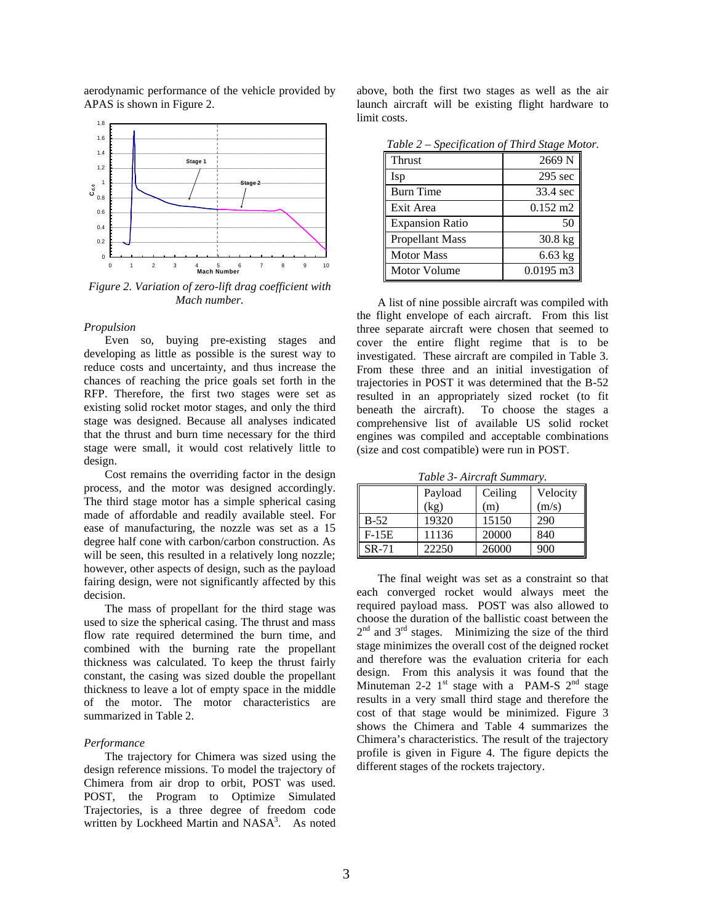

aerodynamic performance of the vehicle provided by APAS is shown in Figure 2.

*Figure 2. Variation of zero-lift drag coefficient with Mach number.*

# *Propulsion*

Even so, buying pre-existing stages and developing as little as possible is the surest way to reduce costs and uncertainty, and thus increase the chances of reaching the price goals set forth in the RFP. Therefore, the first two stages were set as existing solid rocket motor stages, and only the third stage was designed. Because all analyses indicated that the thrust and burn time necessary for the third stage were small, it would cost relatively little to design.

Cost remains the overriding factor in the design process, and the motor was designed accordingly. The third stage motor has a simple spherical casing made of affordable and readily available steel. For ease of manufacturing, the nozzle was set as a 15 degree half cone with carbon/carbon construction. As will be seen, this resulted in a relatively long nozzle; however, other aspects of design, such as the payload fairing design, were not significantly affected by this decision.

The mass of propellant for the third stage was used to size the spherical casing. The thrust and mass flow rate required determined the burn time, and combined with the burning rate the propellant thickness was calculated. To keep the thrust fairly constant, the casing was sized double the propellant thickness to leave a lot of empty space in the middle of the motor. The motor characteristics are summarized in Table 2.

# *Performance*

The trajectory for Chimera was sized using the design reference missions. To model the trajectory of Chimera from air drop to orbit, POST was used. POST, the Program to Optimize Simulated Trajectories, is a three degree of freedom code written by Lockheed Martin and NASA<sup>3</sup>. As noted

above, both the first two stages as well as the air launch aircraft will be existing flight hardware to limit costs.

| $1000 - 4$             | $\mathcal{L}$       |
|------------------------|---------------------|
| <b>Thrust</b>          | 2669 <sub>N</sub>   |
| Isp                    | 295 sec             |
| <b>Burn Time</b>       | 33.4 sec            |
| Exit Area              | $0.152 \text{ m}$ 2 |
| <b>Expansion Ratio</b> | 50                  |
| <b>Propellant Mass</b> | $30.8$ kg           |
| <b>Motor Mass</b>      | $6.63$ kg           |
| <b>Motor Volume</b>    | $0.0195$ m3         |

*Table 2 – Specification of Third Stage Motor.*

A list of nine possible aircraft was compiled with the flight envelope of each aircraft. From this list three separate aircraft were chosen that seemed to cover the entire flight regime that is to be investigated. These aircraft are compiled in Table 3. From these three and an initial investigation of trajectories in POST it was determined that the B-52 resulted in an appropriately sized rocket (to fit beneath the aircraft). To choose the stages a comprehensive list of available US solid rocket engines was compiled and acceptable combinations (size and cost compatible) were run in POST.

*Table 3- Aircraft Summary.*

|         | Payload | Ceiling | Velocity |
|---------|---------|---------|----------|
|         | (kg)    | (m)     | (m/s)    |
| $B-52$  | 19320   | 15150   | 290      |
| $F-15E$ | 11136   | 20000   | 840      |
| SR-71   | 22250   | 26000   | 900      |

The final weight was set as a constraint so that each converged rocket would always meet the required payload mass. POST was also allowed to choose the duration of the ballistic coast between the  $2<sup>nd</sup>$  and  $3<sup>rd</sup>$  stages. Minimizing the size of the third stage minimizes the overall cost of the deigned rocket and therefore was the evaluation criteria for each design. From this analysis it was found that the Minuteman 2-2  $1^{st}$  stage with a PAM-S  $2^{nd}$  stage results in a very small third stage and therefore the cost of that stage would be minimized. Figure 3 shows the Chimera and Table 4 summarizes the Chimera's characteristics. The result of the trajectory profile is given in Figure 4. The figure depicts the different stages of the rockets trajectory.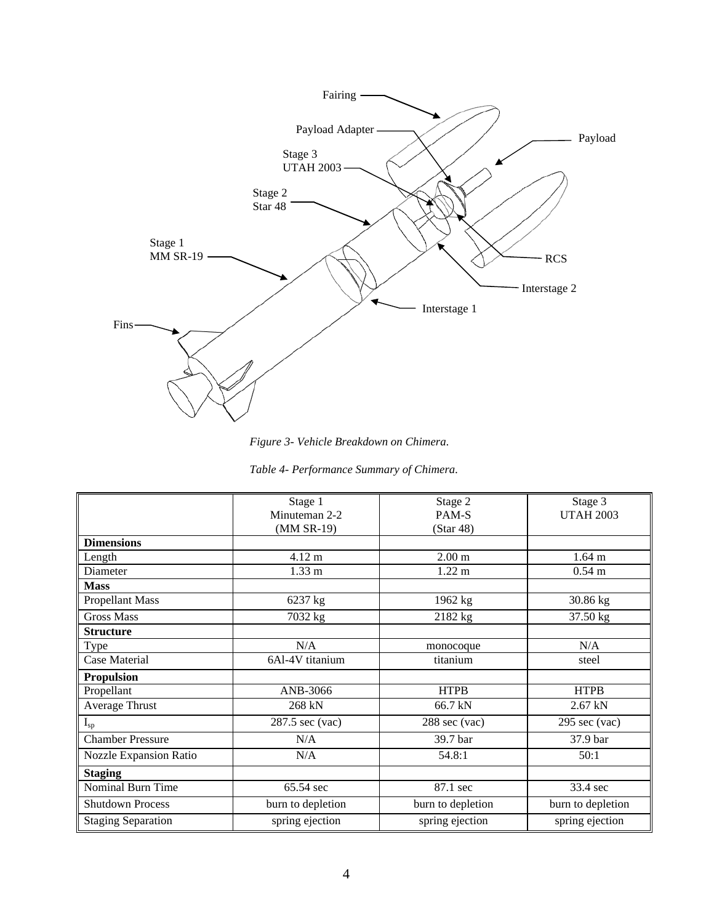

*Figure 3- Vehicle Breakdown on Chimera.*

|  | Table 4- Performance Summary of Chimera. |  |  |  |
|--|------------------------------------------|--|--|--|
|--|------------------------------------------|--|--|--|

|                           | Stage 1           | Stage 2                 | Stage 3                 |
|---------------------------|-------------------|-------------------------|-------------------------|
|                           | Minuteman 2-2     | PAM-S                   | <b>UTAH 2003</b>        |
|                           | (MM SR-19)        | (Star 48)               |                         |
| <b>Dimensions</b>         |                   |                         |                         |
| Length                    | $4.12 \text{ m}$  | 2.00 <sub>m</sub>       | $1.64 \text{ m}$        |
| Diameter                  | $1.33 \text{ m}$  | $1.22 \text{ m}$        | $0.54$ m                |
| <b>Mass</b>               |                   |                         |                         |
| <b>Propellant Mass</b>    | 6237 kg           | 1962 kg                 | 30.86 kg                |
| <b>Gross Mass</b>         | 7032 kg           | 2182 kg                 | 37.50 kg                |
| <b>Structure</b>          |                   |                         |                         |
| <b>Type</b>               | N/A               | monocoque               | N/A                     |
| Case Material             | 6Al-4V titanium   | titanium                | steel                   |
| <b>Propulsion</b>         |                   |                         |                         |
| Propellant                | ANB-3066          | <b>HTPB</b>             | <b>HTPB</b>             |
| <b>Average Thrust</b>     | 268 kN            | 66.7 kN                 | $2.67$ kN               |
| $I_{sp}$                  | 287.5 sec (vac)   | $288 \text{ sec}$ (vac) | $295 \text{ sec}$ (vac) |
| <b>Chamber Pressure</b>   | N/A               | 39.7 bar                | 37.9 bar                |
| Nozzle Expansion Ratio    | N/A               | 54.8:1                  | 50:1                    |
| <b>Staging</b>            |                   |                         |                         |
| Nominal Burn Time         | 65.54 sec         | 87.1 sec                | 33.4 sec                |
| <b>Shutdown Process</b>   | burn to depletion | burn to depletion       | burn to depletion       |
| <b>Staging Separation</b> | spring ejection   | spring ejection         | spring ejection         |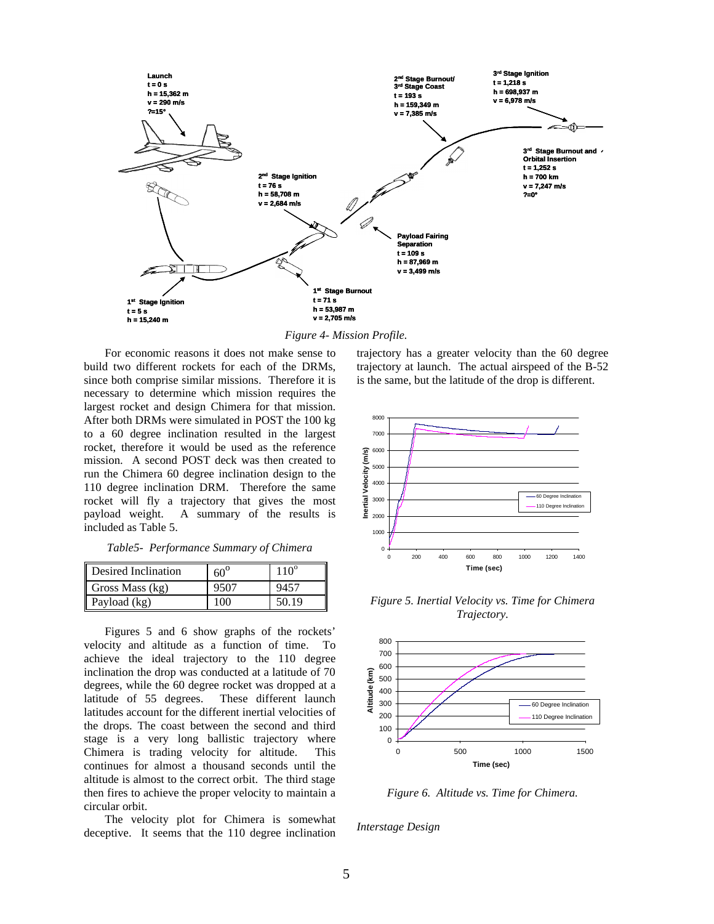

*Figure 4- Mission Profile.*

For economic reasons it does not make sense to build two different rockets for each of the DRMs, since both comprise similar missions. Therefore it is necessary to determine which mission requires the largest rocket and design Chimera for that mission. After both DRMs were simulated in POST the 100 kg to a 60 degree inclination resulted in the largest rocket, therefore it would be used as the reference mission. A second POST deck was then created to run the Chimera 60 degree inclination design to the 110 degree inclination DRM. Therefore the same rocket will fly a trajectory that gives the most payload weight. A summary of the results is included as Table 5.

*Table5- Performance Summary of Chimera*

| Desired Inclination | $60^\circ$ | $110^\circ$ |
|---------------------|------------|-------------|
| Gross Mass (kg)     | 9507       | 9457        |
| Payload (kg)        | 100        | 50.19       |

Figures 5 and 6 show graphs of the rockets' velocity and altitude as a function of time. To achieve the ideal trajectory to the 110 degree inclination the drop was conducted at a latitude of 70 degrees, while the 60 degree rocket was dropped at a latitude of 55 degrees. These different launch latitudes account for the different inertial velocities of the drops. The coast between the second and third stage is a very long ballistic trajectory where Chimera is trading velocity for altitude. This continues for almost a thousand seconds until the altitude is almost to the correct orbit. The third stage then fires to achieve the proper velocity to maintain a circular orbit.

The velocity plot for Chimera is somewhat deceptive. It seems that the 110 degree inclination

trajectory has a greater velocity than the 60 degree trajectory at launch. The actual airspeed of the B-52 is the same, but the latitude of the drop is different.



*Figure 5. Inertial Velocity vs. Time for Chimera Trajectory.*



*Figure 6. Altitude vs. Time for Chimera.*

*Interstage Design*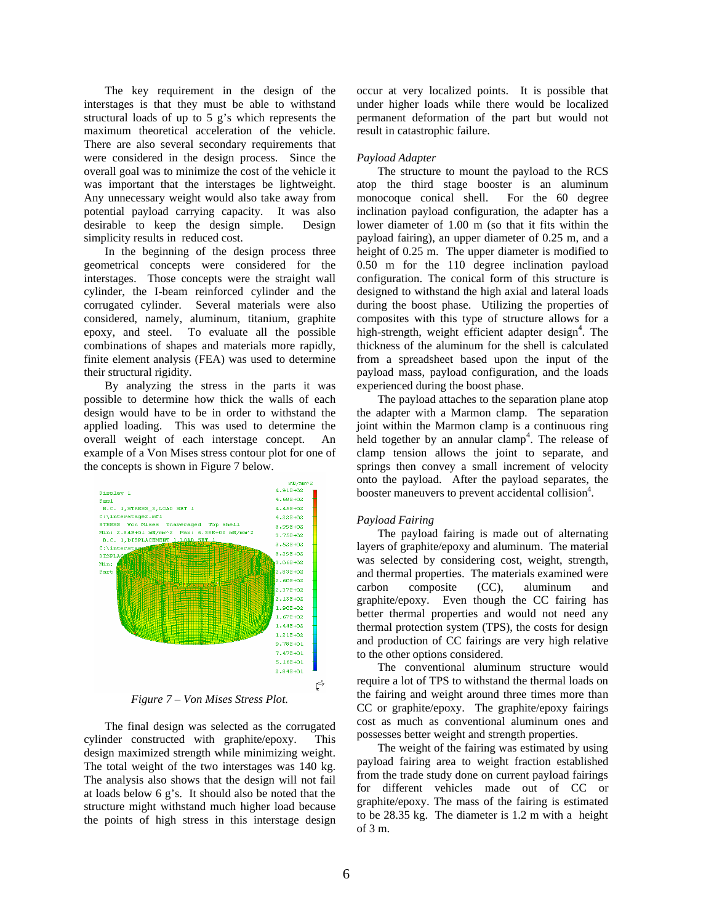The key requirement in the design of the interstages is that they must be able to withstand structural loads of up to 5 g's which represents the maximum theoretical acceleration of the vehicle. There are also several secondary requirements that were considered in the design process. Since the overall goal was to minimize the cost of the vehicle it was important that the interstages be lightweight. Any unnecessary weight would also take away from potential payload carrying capacity. It was also desirable to keep the design simple. Design simplicity results in reduced cost.

In the beginning of the design process three geometrical concepts were considered for the interstages. Those concepts were the straight wall cylinder, the I-beam reinforced cylinder and the corrugated cylinder. Several materials were also considered, namely, aluminum, titanium, graphite epoxy, and steel. To evaluate all the possible combinations of shapes and materials more rapidly, finite element analysis (FEA) was used to determine their structural rigidity.

By analyzing the stress in the parts it was possible to determine how thick the walls of each design would have to be in order to withstand the applied loading. This was used to determine the overall weight of each interstage concept. An example of a Von Mises stress contour plot for one of the concepts is shown in Figure 7 below.



*Figure 7 – Von Mises Stress Plot.*

The final design was selected as the corrugated cylinder constructed with graphite/epoxy. This design maximized strength while minimizing weight. The total weight of the two interstages was 140 kg. The analysis also shows that the design will not fail at loads below 6 g's. It should also be noted that the structure might withstand much higher load because the points of high stress in this interstage design

occur at very localized points. It is possible that under higher loads while there would be localized permanent deformation of the part but would not result in catastrophic failure.

# *Payload Adapter*

The structure to mount the payload to the RCS atop the third stage booster is an aluminum monocoque conical shell. For the 60 degree inclination payload configuration, the adapter has a lower diameter of 1.00 m (so that it fits within the payload fairing), an upper diameter of 0.25 m, and a height of 0.25 m. The upper diameter is modified to 0.50 m for the 110 degree inclination payload configuration. The conical form of this structure is designed to withstand the high axial and lateral loads during the boost phase. Utilizing the properties of composites with this type of structure allows for a high-strength, weight efficient adapter design<sup>4</sup>. The thickness of the aluminum for the shell is calculated from a spreadsheet based upon the input of the payload mass, payload configuration, and the loads experienced during the boost phase.

The payload attaches to the separation plane atop the adapter with a Marmon clamp. The separation joint within the Marmon clamp is a continuous ring held together by an annular clamp<sup>4</sup>. The release of clamp tension allows the joint to separate, and springs then convey a small increment of velocity onto the payload. After the payload separates, the booster maneuvers to prevent accidental collision<sup>4</sup>.

# *Payload Fairing*

The payload fairing is made out of alternating layers of graphite/epoxy and aluminum. The material was selected by considering cost, weight, strength, and thermal properties. The materials examined were carbon composite (CC), aluminum and graphite/epoxy. Even though the CC fairing has better thermal properties and would not need any thermal protection system (TPS), the costs for design and production of CC fairings are very high relative to the other options considered.

The conventional aluminum structure would require a lot of TPS to withstand the thermal loads on the fairing and weight around three times more than CC or graphite/epoxy. The graphite/epoxy fairings cost as much as conventional aluminum ones and possesses better weight and strength properties.

The weight of the fairing was estimated by using payload fairing area to weight fraction established from the trade study done on current payload fairings for different vehicles made out of CC or graphite/epoxy. The mass of the fairing is estimated to be 28.35 kg. The diameter is 1.2 m with a height of 3 m.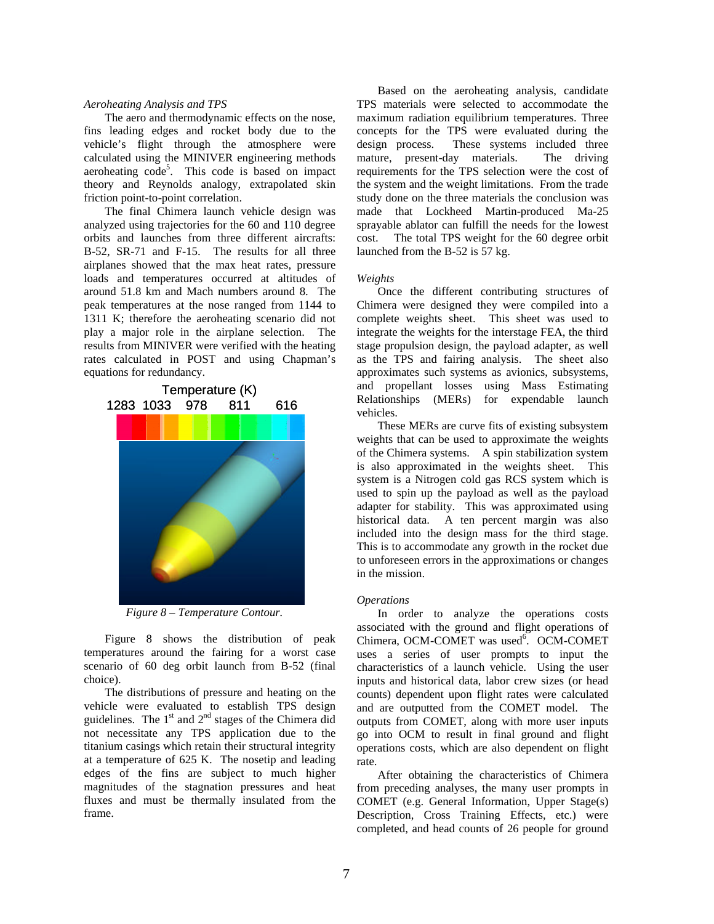## *Aeroheating Analysis and TPS*

The aero and thermodynamic effects on the nose, fins leading edges and rocket body due to the vehicle's flight through the atmosphere were calculated using the MINIVER engineering methods aeroheating code<sup>5</sup>. This code is based on impact theory and Reynolds analogy, extrapolated skin friction point-to-point correlation.

The final Chimera launch vehicle design was analyzed using trajectories for the 60 and 110 degree orbits and launches from three different aircrafts: B-52, SR-71 and F-15. The results for all three airplanes showed that the max heat rates, pressure loads and temperatures occurred at altitudes of around 51.8 km and Mach numbers around 8. The peak temperatures at the nose ranged from 1144 to 1311 K; therefore the aeroheating scenario did not play a major role in the airplane selection. The results from MINIVER were verified with the heating rates calculated in POST and using Chapman's equations for redundancy.



*Figure 8 – Temperature Contour.*

Figure 8 shows the distribution of peak temperatures around the fairing for a worst case scenario of 60 deg orbit launch from B-52 (final choice).

The distributions of pressure and heating on the vehicle were evaluated to establish TPS design guidelines. The  $1<sup>st</sup>$  and  $2<sup>nd</sup>$  stages of the Chimera did not necessitate any TPS application due to the titanium casings which retain their structural integrity at a temperature of 625 K. The nosetip and leading edges of the fins are subject to much higher magnitudes of the stagnation pressures and heat fluxes and must be thermally insulated from the frame.

Based on the aeroheating analysis, candidate TPS materials were selected to accommodate the maximum radiation equilibrium temperatures. Three concepts for the TPS were evaluated during the design process. These systems included three mature, present-day materials. The driving requirements for the TPS selection were the cost of the system and the weight limitations. From the trade study done on the three materials the conclusion was made that Lockheed Martin-produced Ma-25 sprayable ablator can fulfill the needs for the lowest cost. The total TPS weight for the 60 degree orbit launched from the B-52 is 57 kg.

#### *Weights*

Once the different contributing structures of Chimera were designed they were compiled into a complete weights sheet. This sheet was used to integrate the weights for the interstage FEA, the third stage propulsion design, the payload adapter, as well as the TPS and fairing analysis. The sheet also approximates such systems as avionics, subsystems, and propellant losses using Mass Estimating Relationships (MERs) for expendable launch vehicles.

These MERs are curve fits of existing subsystem weights that can be used to approximate the weights of the Chimera systems. A spin stabilization system is also approximated in the weights sheet. This system is a Nitrogen cold gas RCS system which is used to spin up the payload as well as the payload adapter for stability. This was approximated using historical data. A ten percent margin was also included into the design mass for the third stage. This is to accommodate any growth in the rocket due to unforeseen errors in the approximations or changes in the mission.

#### *Operations*

In order to analyze the operations costs associated with the ground and flight operations of Chimera, OCM-COMET was used<sup>6</sup>. OCM-COMET uses a series of user prompts to input the characteristics of a launch vehicle. Using the user inputs and historical data, labor crew sizes (or head counts) dependent upon flight rates were calculated and are outputted from the COMET model. The outputs from COMET, along with more user inputs go into OCM to result in final ground and flight operations costs, which are also dependent on flight rate.

After obtaining the characteristics of Chimera from preceding analyses, the many user prompts in COMET (e.g. General Information, Upper Stage(s) Description, Cross Training Effects, etc.) were completed, and head counts of 26 people for ground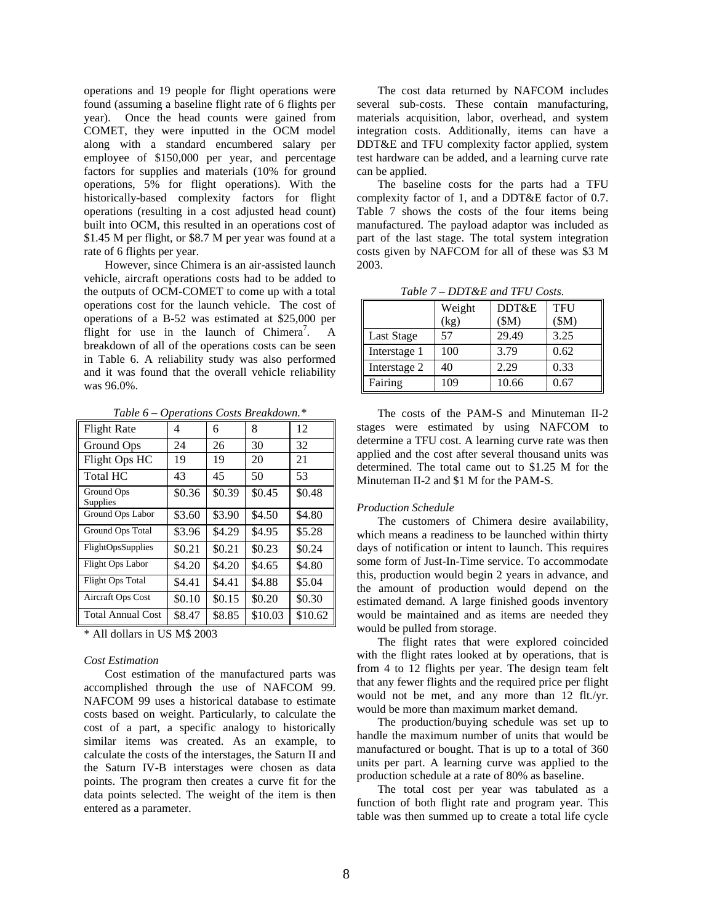operations and 19 people for flight operations were found (assuming a baseline flight rate of 6 flights per year). Once the head counts were gained from COMET, they were inputted in the OCM model along with a standard encumbered salary per employee of \$150,000 per year, and percentage factors for supplies and materials (10% for ground operations, 5% for flight operations). With the historically-based complexity factors for flight operations (resulting in a cost adjusted head count) built into OCM, this resulted in an operations cost of \$1.45 M per flight, or \$8.7 M per year was found at a rate of 6 flights per year.

However, since Chimera is an air-assisted launch vehicle, aircraft operations costs had to be added to the outputs of OCM-COMET to come up with a total operations cost for the launch vehicle. The cost of operations of a B-52 was estimated at \$25,000 per flight for use in the launch of Chimera<sup>7</sup>. . A breakdown of all of the operations costs can be seen in Table 6. A reliability study was also performed and it was found that the overall vehicle reliability was 96.0%.

*Table 6 – Operations Costs Breakdown.\**

| <b>Flight Rate</b>       | 4      | 6      | 8       | 12      |
|--------------------------|--------|--------|---------|---------|
| Ground Ops               | 24     | 26     | 30      | 32      |
| Flight Ops HC            | 19     | 19     | 20      | 21      |
| <b>Total HC</b>          | 43     | 45     | 50      | 53      |
| Ground Ops<br>Supplies   | \$0.36 | \$0.39 | \$0.45  | \$0.48  |
| Ground Ops Labor         | \$3.60 | \$3.90 | \$4.50  | \$4.80  |
| Ground Ops Total         | \$3.96 | \$4.29 | \$4.95  | \$5.28  |
| FlightOpsSupplies        | \$0.21 | \$0.21 | \$0.23  | \$0.24  |
| Flight Ops Labor         | \$4.20 | \$4.20 | \$4.65  | \$4.80  |
| Flight Ops Total         | \$4.41 | \$4.41 | \$4.88  | \$5.04  |
| Aircraft Ops Cost        | \$0.10 | \$0.15 | \$0.20  | \$0.30  |
| <b>Total Annual Cost</b> | \$8.47 | \$8.85 | \$10.03 | \$10.62 |

\* All dollars in US M\$ 2003

#### *Cost Estimation*

Cost estimation of the manufactured parts was accomplished through the use of NAFCOM 99. NAFCOM 99 uses a historical database to estimate costs based on weight. Particularly, to calculate the cost of a part, a specific analogy to historically similar items was created. As an example, to calculate the costs of the interstages, the Saturn II and the Saturn IV-B interstages were chosen as data points. The program then creates a curve fit for the data points selected. The weight of the item is then entered as a parameter.

The cost data returned by NAFCOM includes several sub-costs. These contain manufacturing, materials acquisition, labor, overhead, and system integration costs. Additionally, items can have a DDT&E and TFU complexity factor applied, system test hardware can be added, and a learning curve rate can be applied.

The baseline costs for the parts had a TFU complexity factor of 1, and a DDT&E factor of 0.7. Table 7 shows the costs of the four items being manufactured. The payload adaptor was included as part of the last stage. The total system integration costs given by NAFCOM for all of these was \$3 M 2003.

|              | Weight<br>(kg) | DDT&E<br>(SM) | TFU<br>(SM) |
|--------------|----------------|---------------|-------------|
| Last Stage   | 57             | 29.49         | 3.25        |
| Interstage 1 | 100            | 3.79          | 0.62        |
| Interstage 2 | 40             | 2.29          | 0.33        |
| Fairing      | 109            | 10.66         | 0.67        |

*Table 7 – DDT&E and TFU Costs.*

The costs of the PAM-S and Minuteman II-2 stages were estimated by using NAFCOM to determine a TFU cost. A learning curve rate was then applied and the cost after several thousand units was determined. The total came out to \$1.25 M for the Minuteman II-2 and \$1 M for the PAM-S.

#### *Production Schedule*

The customers of Chimera desire availability, which means a readiness to be launched within thirty days of notification or intent to launch. This requires some form of Just-In-Time service. To accommodate this, production would begin 2 years in advance, and the amount of production would depend on the estimated demand. A large finished goods inventory would be maintained and as items are needed they would be pulled from storage.

The flight rates that were explored coincided with the flight rates looked at by operations, that is from 4 to 12 flights per year. The design team felt that any fewer flights and the required price per flight would not be met, and any more than 12 flt./yr. would be more than maximum market demand.

The production/buying schedule was set up to handle the maximum number of units that would be manufactured or bought. That is up to a total of 360 units per part. A learning curve was applied to the production schedule at a rate of 80% as baseline.

The total cost per year was tabulated as a function of both flight rate and program year. This table was then summed up to create a total life cycle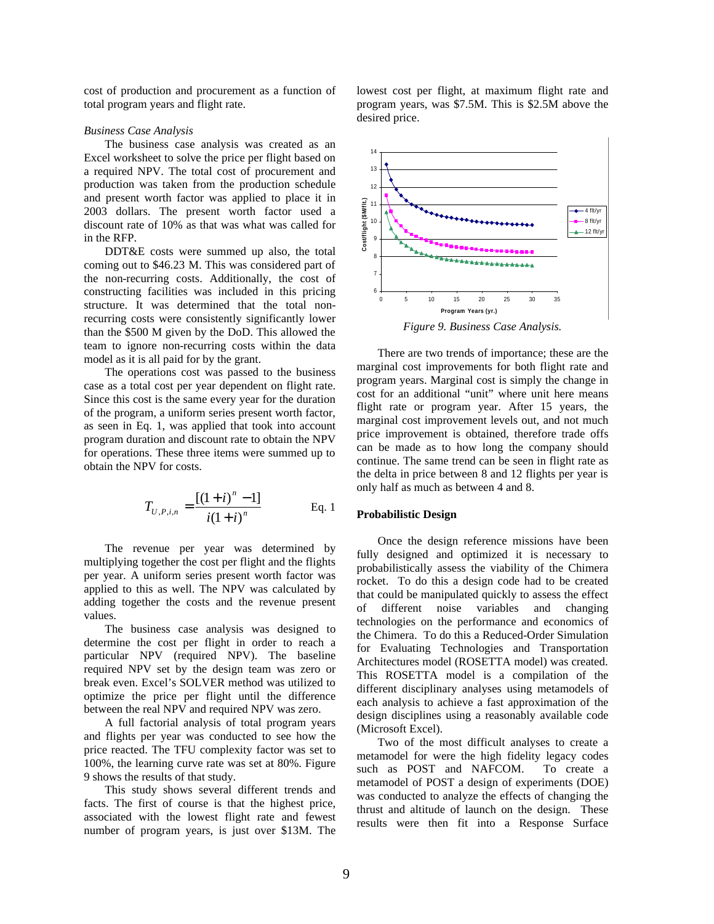cost of production and procurement as a function of total program years and flight rate.

## *Business Case Analysis*

The business case analysis was created as an Excel worksheet to solve the price per flight based on a required NPV. The total cost of procurement and production was taken from the production schedule and present worth factor was applied to place it in 2003 dollars. The present worth factor used a discount rate of 10% as that was what was called for in the RFP.

DDT&E costs were summed up also, the total coming out to \$46.23 M. This was considered part of the non-recurring costs. Additionally, the cost of constructing facilities was included in this pricing structure. It was determined that the total nonrecurring costs were consistently significantly lower than the \$500 M given by the DoD. This allowed the team to ignore non-recurring costs within the data model as it is all paid for by the grant.

The operations cost was passed to the business case as a total cost per year dependent on flight rate. Since this cost is the same every year for the duration of the program, a uniform series present worth factor, as seen in Eq. 1, was applied that took into account program duration and discount rate to obtain the NPV for operations. These three items were summed up to obtain the NPV for costs.

$$
T_{U,P,i,n} = \frac{[(1+i)^n - 1]}{i(1+i)^n}
$$
 Eq. 1

The revenue per year was determined by multiplying together the cost per flight and the flights per year. A uniform series present worth factor was applied to this as well. The NPV was calculated by adding together the costs and the revenue present values.

The business case analysis was designed to determine the cost per flight in order to reach a particular NPV (required NPV). The baseline required NPV set by the design team was zero or break even. Excel's SOLVER method was utilized to optimize the price per flight until the difference between the real NPV and required NPV was zero.

A full factorial analysis of total program years and flights per year was conducted to see how the price reacted. The TFU complexity factor was set to 100%, the learning curve rate was set at 80%. Figure 9 shows the results of that study.

This study shows several different trends and facts. The first of course is that the highest price, associated with the lowest flight rate and fewest number of program years, is just over \$13M. The

lowest cost per flight, at maximum flight rate and program years, was \$7.5M. This is \$2.5M above the desired price.



*Figure 9. Business Case Analysis.*

There are two trends of importance; these are the marginal cost improvements for both flight rate and program years. Marginal cost is simply the change in cost for an additional "unit" where unit here means flight rate or program year. After 15 years, the marginal cost improvement levels out, and not much price improvement is obtained, therefore trade offs can be made as to how long the company should continue. The same trend can be seen in flight rate as the delta in price between 8 and 12 flights per year is only half as much as between 4 and 8.

## **Probabilistic Design**

Once the design reference missions have been fully designed and optimized it is necessary to probabilistically assess the viability of the Chimera rocket. To do this a design code had to be created that could be manipulated quickly to assess the effect of different noise variables and changing technologies on the performance and economics of the Chimera. To do this a Reduced-Order Simulation for Evaluating Technologies and Transportation Architectures model (ROSETTA model) was created. This ROSETTA model is a compilation of the different disciplinary analyses using metamodels of each analysis to achieve a fast approximation of the design disciplines using a reasonably available code (Microsoft Excel).

Two of the most difficult analyses to create a metamodel for were the high fidelity legacy codes such as POST and NAFCOM. To create a metamodel of POST a design of experiments (DOE) was conducted to analyze the effects of changing the thrust and altitude of launch on the design. These results were then fit into a Response Surface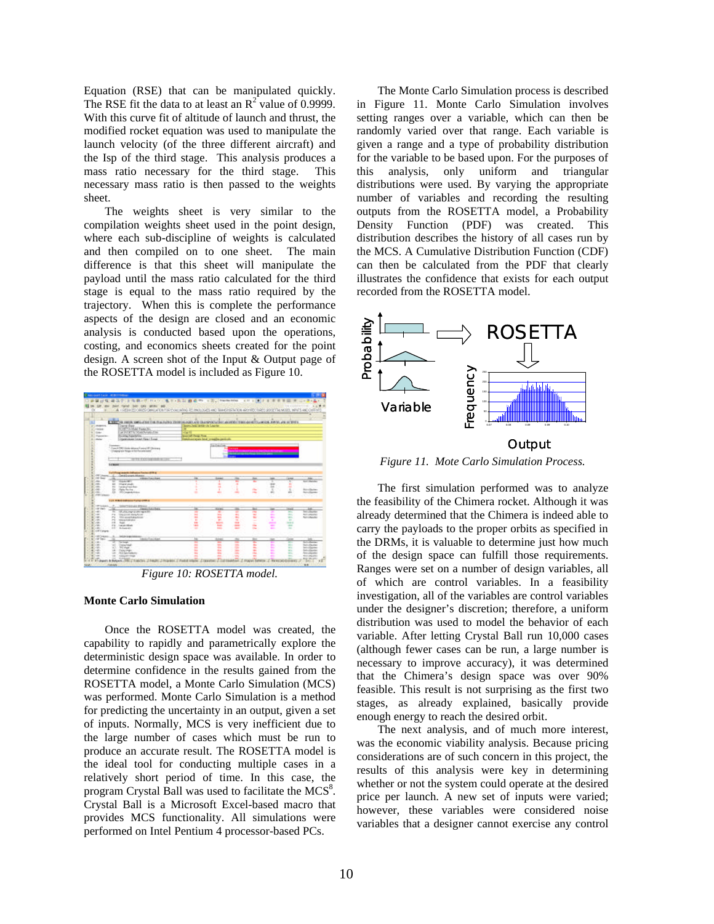Equation (RSE) that can be manipulated quickly. The RSE fit the data to at least an  $R^2$  value of 0.9999. With this curve fit of altitude of launch and thrust, the modified rocket equation was used to manipulate the launch velocity (of the three different aircraft) and the Isp of the third stage. This analysis produces a mass ratio necessary for the third stage. This necessary mass ratio is then passed to the weights sheet.

The weights sheet is very similar to the compilation weights sheet used in the point design, where each sub-discipline of weights is calculated and then compiled on to one sheet. The main difference is that this sheet will manipulate the payload until the mass ratio calculated for the third stage is equal to the mass ratio required by the trajectory. When this is complete the performance aspects of the design are closed and an economic analysis is conducted based upon the operations, costing, and economics sheets created for the point design. A screen shot of the Input & Output page of the ROSETTA model is included as Figure 10.



*Figure 10: ROSETTA model.*

#### **Monte Carlo Simulation**

Once the ROSETTA model was created, the capability to rapidly and parametrically explore the deterministic design space was available. In order to determine confidence in the results gained from the ROSETTA model, a Monte Carlo Simulation (MCS) was performed. Monte Carlo Simulation is a method for predicting the uncertainty in an output, given a set of inputs. Normally, MCS is very inefficient due to the large number of cases which must be run to produce an accurate result. The ROSETTA model is the ideal tool for conducting multiple cases in a relatively short period of time. In this case, the program Crystal Ball was used to facilitate the  $MCS<sup>8</sup>$ . Crystal Ball is a Microsoft Excel-based macro that provides MCS functionality. All simulations were performed on Intel Pentium 4 processor-based PCs.

The Monte Carlo Simulation process is described in Figure 11. Monte Carlo Simulation involves setting ranges over a variable, which can then be randomly varied over that range. Each variable is given a range and a type of probability distribution for the variable to be based upon. For the purposes of this analysis, only uniform and triangular distributions were used. By varying the appropriate number of variables and recording the resulting outputs from the ROSETTA model, a Probability Density Function (PDF) was created. This distribution describes the history of all cases run by the MCS. A Cumulative Distribution Function (CDF) can then be calculated from the PDF that clearly illustrates the confidence that exists for each output recorded from the ROSETTA model.



*Figure 11. Mote Carlo Simulation Process.*

The first simulation performed was to analyze the feasibility of the Chimera rocket. Although it was already determined that the Chimera is indeed able to carry the payloads to the proper orbits as specified in the DRMs, it is valuable to determine just how much of the design space can fulfill those requirements. Ranges were set on a number of design variables, all of which are control variables. In a feasibility investigation, all of the variables are control variables under the designer's discretion; therefore, a uniform distribution was used to model the behavior of each variable. After letting Crystal Ball run 10,000 cases (although fewer cases can be run, a large number is necessary to improve accuracy), it was determined that the Chimera's design space was over 90% feasible. This result is not surprising as the first two stages, as already explained, basically provide enough energy to reach the desired orbit.

The next analysis, and of much more interest, was the economic viability analysis. Because pricing considerations are of such concern in this project, the results of this analysis were key in determining whether or not the system could operate at the desired price per launch. A new set of inputs were varied; however, these variables were considered noise variables that a designer cannot exercise any control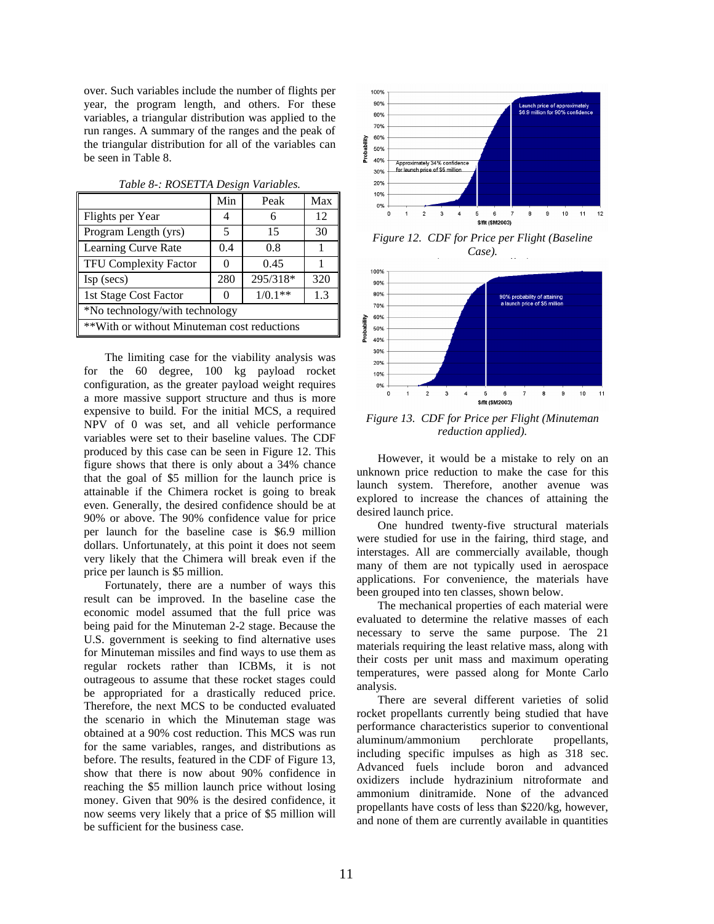over. Such variables include the number of flights per year, the program length, and others. For these variables, a triangular distribution was applied to the run ranges. A summary of the ranges and the peak of the triangular distribution for all of the variables can be seen in Table 8.

| Min                                                   | Peak     | Max |  |  |
|-------------------------------------------------------|----------|-----|--|--|
| 4                                                     | 6        | 12  |  |  |
| 5                                                     | 15       | 30  |  |  |
| 0.4                                                   | 0.8      | 1   |  |  |
| $\Omega$                                              | 0.45     |     |  |  |
| 280                                                   | 295/318* | 320 |  |  |
| $1/0.1**$<br>1st Stage Cost Factor<br>1.3<br>$\Omega$ |          |     |  |  |
| *No technology/with technology                        |          |     |  |  |
| **With or without Minuteman cost reductions           |          |     |  |  |
|                                                       |          |     |  |  |

*Table 8-: ROSETTA Design Variables.*

The limiting case for the viability analysis was for the 60 degree, 100 kg payload rocket configuration, as the greater payload weight requires a more massive support structure and thus is more expensive to build. For the initial MCS, a required NPV of 0 was set, and all vehicle performance variables were set to their baseline values. The CDF produced by this case can be seen in Figure 12. This figure shows that there is only about a 34% chance that the goal of \$5 million for the launch price is attainable if the Chimera rocket is going to break even. Generally, the desired confidence should be at 90% or above. The 90% confidence value for price per launch for the baseline case is \$6.9 million dollars. Unfortunately, at this point it does not seem very likely that the Chimera will break even if the price per launch is \$5 million.

Fortunately, there are a number of ways this result can be improved. In the baseline case the economic model assumed that the full price was being paid for the Minuteman 2-2 stage. Because the U.S. government is seeking to find alternative uses for Minuteman missiles and find ways to use them as regular rockets rather than ICBMs, it is not outrageous to assume that these rocket stages could be appropriated for a drastically reduced price. Therefore, the next MCS to be conducted evaluated the scenario in which the Minuteman stage was obtained at a 90% cost reduction. This MCS was run for the same variables, ranges, and distributions as before. The results, featured in the CDF of Figure 13, show that there is now about 90% confidence in reaching the \$5 million launch price without losing money. Given that 90% is the desired confidence, it now seems very likely that a price of \$5 million will be sufficient for the business case.



*Figure 12. CDF for Price per Flight (Baseline Case).*



*Figure 13. CDF for Price per Flight (Minuteman reduction applied).*

However, it would be a mistake to rely on an unknown price reduction to make the case for this launch system. Therefore, another avenue was explored to increase the chances of attaining the desired launch price.

One hundred twenty-five structural materials were studied for use in the fairing, third stage, and interstages. All are commercially available, though many of them are not typically used in aerospace applications. For convenience, the materials have been grouped into ten classes, shown below.

The mechanical properties of each material were evaluated to determine the relative masses of each necessary to serve the same purpose. The 21 materials requiring the least relative mass, along with their costs per unit mass and maximum operating temperatures, were passed along for Monte Carlo analysis.

There are several different varieties of solid rocket propellants currently being studied that have performance characteristics superior to conventional aluminum/ammonium perchlorate propellants, including specific impulses as high as 318 sec. Advanced fuels include boron and advanced oxidizers include hydrazinium nitroformate and ammonium dinitramide. None of the advanced propellants have costs of less than \$220/kg, however, and none of them are currently available in quantities